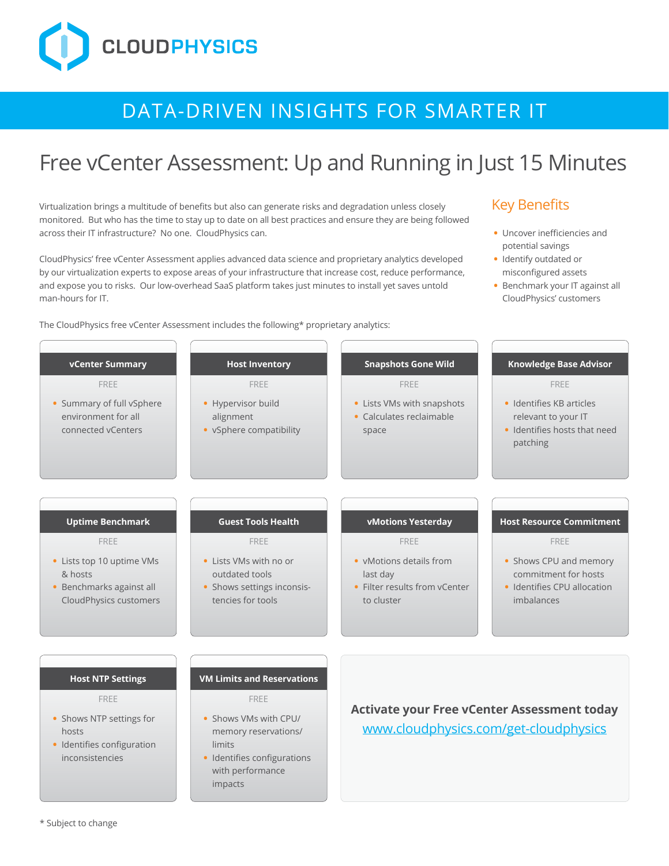# **CLOUDPHYSICS**

## DATA-DRIVEN INSIGHTS FOR SMARTER IT

## Free vCenter Assessment: Up and Running in Just 15 Minutes

Virtualization brings a multitude of benefits but also can generate risks and degradation unless closely monitored. But who has the time to stay up to date on all best practices and ensure they are being followed across their IT infrastructure? No one. CloudPhysics can.

CloudPhysics' free vCenter Assessment applies advanced data science and proprietary analytics developed by our virtualization experts to expose areas of your infrastructure that increase cost, reduce performance, and expose you to risks. Our low-overhead SaaS platform takes just minutes to install yet saves untold man-hours for IT.

The CloudPhysics free vCenter Assessment includes the following\* proprietary analytics:

#### Key Benefits

- **•** Uncover inefficiencies and potential savings
- **•** Identify outdated or misconfigured assets
- **•** Benchmark your IT against all CloudPhysics' customers